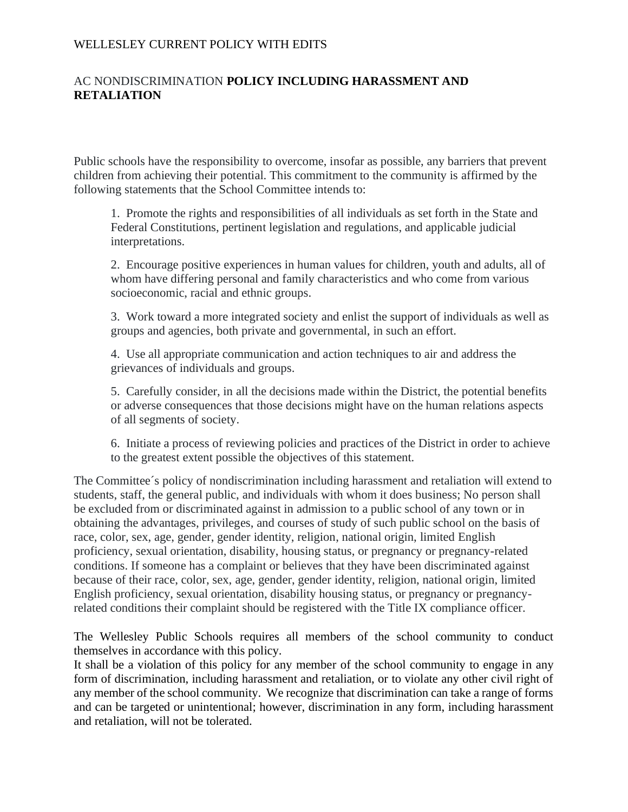## WELLESLEY CURRENT POLICY WITH EDITS

## AC NONDISCRIMINATION **POLICY INCLUDING HARASSMENT AND RETALIATION**

Public schools have the responsibility to overcome, insofar as possible, any barriers that prevent children from achieving their potential. This commitment to the community is affirmed by the following statements that the School Committee intends to:

1. Promote the rights and responsibilities of all individuals as set forth in the State and Federal Constitutions, pertinent legislation and regulations, and applicable judicial interpretations.

2. Encourage positive experiences in human values for children, youth and adults, all of whom have differing personal and family characteristics and who come from various socioeconomic, racial and ethnic groups.

3. Work toward a more integrated society and enlist the support of individuals as well as groups and agencies, both private and governmental, in such an effort.

4. Use all appropriate communication and action techniques to air and address the grievances of individuals and groups.

5. Carefully consider, in all the decisions made within the District, the potential benefits or adverse consequences that those decisions might have on the human relations aspects of all segments of society.

6. Initiate a process of reviewing policies and practices of the District in order to achieve to the greatest extent possible the objectives of this statement.

The Committee´s policy of nondiscrimination including harassment and retaliation will extend to students, staff, the general public, and individuals with whom it does business; No person shall be excluded from or discriminated against in admission to a public school of any town or in obtaining the advantages, privileges, and courses of study of such public school on the basis of race, color, sex, age, gender, gender identity, religion, national origin, limited English proficiency, sexual orientation, disability, housing status, or pregnancy or pregnancy-related conditions. If someone has a complaint or believes that they have been discriminated against because of their race, color, sex, age, gender, gender identity, religion, national origin, limited English proficiency, sexual orientation, disability housing status, or pregnancy or pregnancyrelated conditions their complaint should be registered with the Title IX compliance officer.

The Wellesley Public Schools requires all members of the school community to conduct themselves in accordance with this policy.

It shall be a violation of this policy for any member of the school community to engage in any form of discrimination, including harassment and retaliation, or to violate any other civil right of any member of the school community. We recognize that discrimination can take a range of forms and can be targeted or unintentional; however, discrimination in any form, including harassment and retaliation, will not be tolerated.